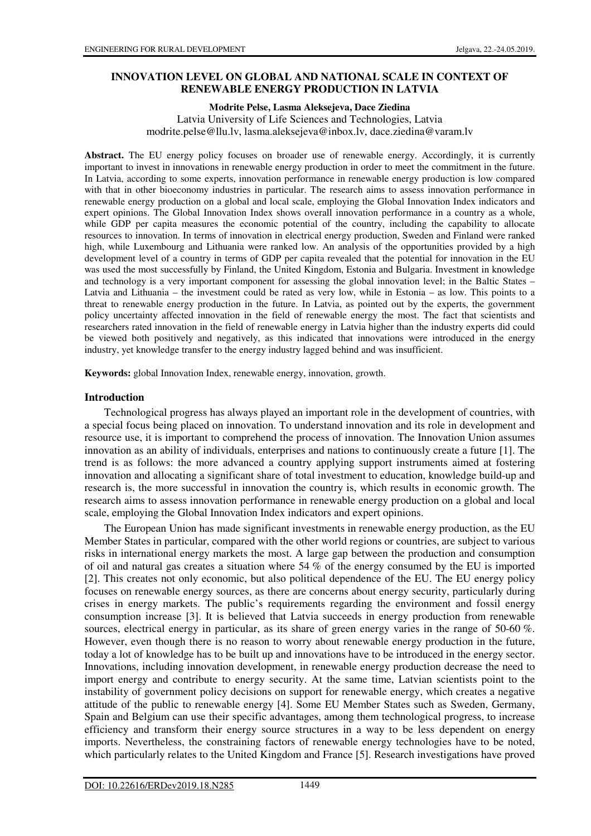# **INNOVATION LEVEL ON GLOBAL AND NATIONAL SCALE IN CONTEXT OF RENEWABLE ENERGY PRODUCTION IN LATVIA**

#### **Modrite Pelse, Lasma Aleksejeva, Dace Ziedina**

Latvia University of Life Sciences and Technologies, Latvia modrite.pelse@llu.lv, lasma.aleksejeva@inbox.lv, dace.ziedina@varam.lv

Abstract. The EU energy policy focuses on broader use of renewable energy. Accordingly, it is currently important to invest in innovations in renewable energy production in order to meet the commitment in the future. In Latvia, according to some experts, innovation performance in renewable energy production is low compared with that in other bioeconomy industries in particular. The research aims to assess innovation performance in renewable energy production on a global and local scale, employing the Global Innovation Index indicators and expert opinions. The Global Innovation Index shows overall innovation performance in a country as a whole, while GDP per capita measures the economic potential of the country, including the capability to allocate resources to innovation. In terms of innovation in electrical energy production, Sweden and Finland were ranked high, while Luxembourg and Lithuania were ranked low. An analysis of the opportunities provided by a high development level of a country in terms of GDP per capita revealed that the potential for innovation in the EU was used the most successfully by Finland, the United Kingdom, Estonia and Bulgaria. Investment in knowledge and technology is a very important component for assessing the global innovation level; in the Baltic States – Latvia and Lithuania – the investment could be rated as very low, while in Estonia – as low. This points to a threat to renewable energy production in the future. In Latvia, as pointed out by the experts, the government policy uncertainty affected innovation in the field of renewable energy the most. The fact that scientists and researchers rated innovation in the field of renewable energy in Latvia higher than the industry experts did could be viewed both positively and negatively, as this indicated that innovations were introduced in the energy industry, yet knowledge transfer to the energy industry lagged behind and was insufficient.

**Keywords:** global Innovation Index, renewable energy, innovation, growth.

#### **Introduction**

Technological progress has always played an important role in the development of countries, with a special focus being placed on innovation. To understand innovation and its role in development and resource use, it is important to comprehend the process of innovation. The Innovation Union assumes innovation as an ability of individuals, enterprises and nations to continuously create a future [1]. The trend is as follows: the more advanced a country applying support instruments aimed at fostering innovation and allocating a significant share of total investment to education, knowledge build-up and research is, the more successful in innovation the country is, which results in economic growth. The research aims to assess innovation performance in renewable energy production on a global and local scale, employing the Global Innovation Index indicators and expert opinions.

The European Union has made significant investments in renewable energy production, as the EU Member States in particular, compared with the other world regions or countries, are subject to various risks in international energy markets the most. A large gap between the production and consumption of oil and natural gas creates a situation where 54 % of the energy consumed by the EU is imported [2]. This creates not only economic, but also political dependence of the EU. The EU energy policy focuses on renewable energy sources, as there are concerns about energy security, particularly during crises in energy markets. The public's requirements regarding the environment and fossil energy consumption increase [3]. It is believed that Latvia succeeds in energy production from renewable sources, electrical energy in particular, as its share of green energy varies in the range of 50-60 %. However, even though there is no reason to worry about renewable energy production in the future, today a lot of knowledge has to be built up and innovations have to be introduced in the energy sector. Innovations, including innovation development, in renewable energy production decrease the need to import energy and contribute to energy security. At the same time, Latvian scientists point to the instability of government policy decisions on support for renewable energy, which creates a negative attitude of the public to renewable energy [4]. Some EU Member States such as Sweden, Germany, Spain and Belgium can use their specific advantages, among them technological progress, to increase efficiency and transform their energy source structures in a way to be less dependent on energy imports. Nevertheless, the constraining factors of renewable energy technologies have to be noted, which particularly relates to the United Kingdom and France [5]. Research investigations have proved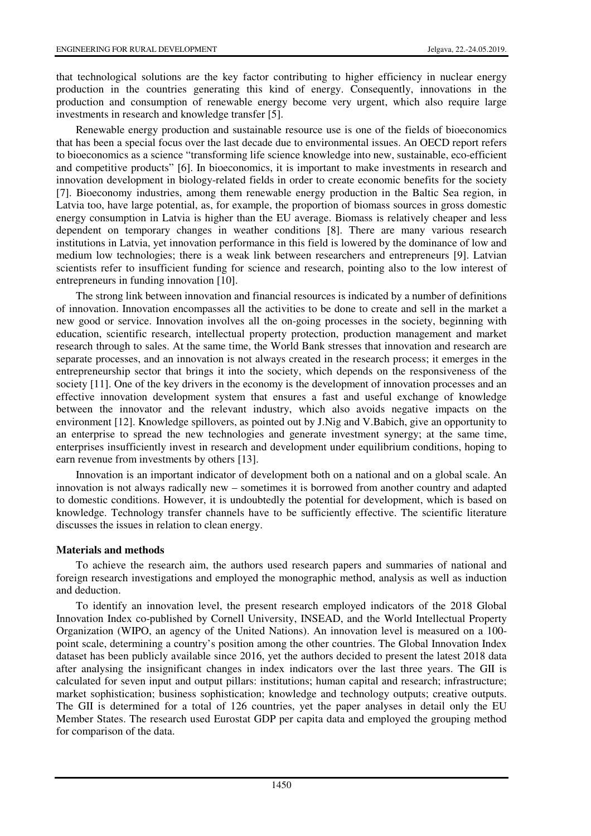that technological solutions are the key factor contributing to higher efficiency in nuclear energy production in the countries generating this kind of energy. Consequently, innovations in the production and consumption of renewable energy become very urgent, which also require large investments in research and knowledge transfer [5].

Renewable energy production and sustainable resource use is one of the fields of bioeconomics that has been a special focus over the last decade due to environmental issues. An OECD report refers to bioeconomics as a science "transforming life science knowledge into new, sustainable, eco-efficient and competitive products" [6]. In bioeconomics, it is important to make investments in research and innovation development in biology-related fields in order to create economic benefits for the society [7]. Bioeconomy industries, among them renewable energy production in the Baltic Sea region, in Latvia too, have large potential, as, for example, the proportion of biomass sources in gross domestic energy consumption in Latvia is higher than the EU average. Biomass is relatively cheaper and less dependent on temporary changes in weather conditions [8]. There are many various research institutions in Latvia, yet innovation performance in this field is lowered by the dominance of low and medium low technologies; there is a weak link between researchers and entrepreneurs [9]. Latvian scientists refer to insufficient funding for science and research, pointing also to the low interest of entrepreneurs in funding innovation [10].

The strong link between innovation and financial resources is indicated by a number of definitions of innovation. Innovation encompasses all the activities to be done to create and sell in the market a new good or service. Innovation involves all the on-going processes in the society, beginning with education, scientific research, intellectual property protection, production management and market research through to sales. At the same time, the World Bank stresses that innovation and research are separate processes, and an innovation is not always created in the research process; it emerges in the entrepreneurship sector that brings it into the society, which depends on the responsiveness of the society [11]. One of the key drivers in the economy is the development of innovation processes and an effective innovation development system that ensures a fast and useful exchange of knowledge between the innovator and the relevant industry, which also avoids negative impacts on the environment [12]. Knowledge spillovers, as pointed out by J.Nig and V.Babich, give an opportunity to an enterprise to spread the new technologies and generate investment synergy; at the same time, enterprises insufficiently invest in research and development under equilibrium conditions, hoping to earn revenue from investments by others [13].

Innovation is an important indicator of development both on a national and on a global scale. An innovation is not always radically new – sometimes it is borrowed from another country and adapted to domestic conditions. However, it is undoubtedly the potential for development, which is based on knowledge. Technology transfer channels have to be sufficiently effective. The scientific literature discusses the issues in relation to clean energy.

# **Materials and methods**

To achieve the research aim, the authors used research papers and summaries of national and foreign research investigations and employed the monographic method, analysis as well as induction and deduction.

To identify an innovation level, the present research employed indicators of the 2018 Global Innovation Index co-published by Cornell University, INSEAD, and the World Intellectual Property Organization (WIPO, an agency of the United Nations). An innovation level is measured on a 100 point scale, determining a country's position among the other countries. The Global Innovation Index dataset has been publicly available since 2016, yet the authors decided to present the latest 2018 data after analysing the insignificant changes in index indicators over the last three years. The GII is calculated for seven input and output pillars: institutions; human capital and research; infrastructure; market sophistication; business sophistication; knowledge and technology outputs; creative outputs. The GII is determined for a total of 126 countries, yet the paper analyses in detail only the EU Member States. The research used Eurostat GDP per capita data and employed the grouping method for comparison of the data.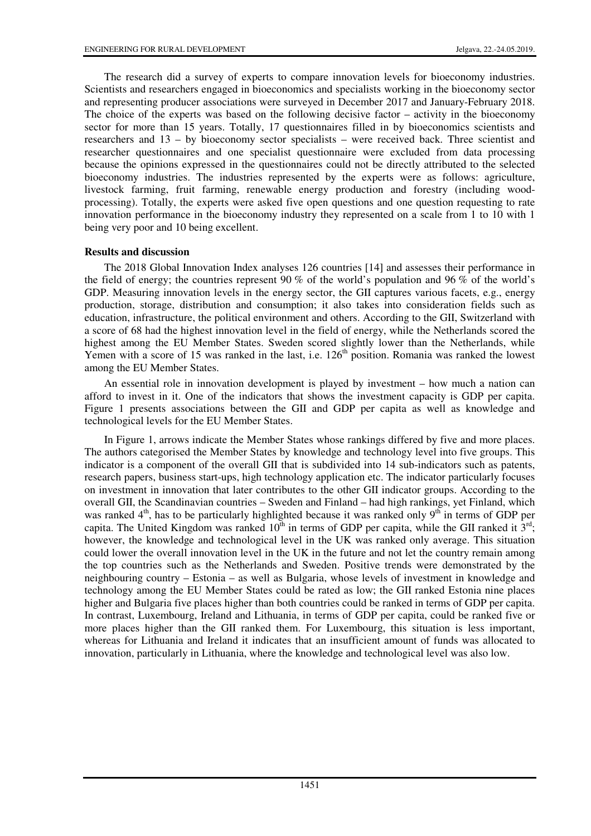The research did a survey of experts to compare innovation levels for bioeconomy industries. Scientists and researchers engaged in bioeconomics and specialists working in the bioeconomy sector and representing producer associations were surveyed in December 2017 and January-February 2018. The choice of the experts was based on the following decisive factor – activity in the bioeconomy sector for more than 15 years. Totally, 17 questionnaires filled in by bioeconomics scientists and researchers and 13 – by bioeconomy sector specialists – were received back. Three scientist and researcher questionnaires and one specialist questionnaire were excluded from data processing because the opinions expressed in the questionnaires could not be directly attributed to the selected bioeconomy industries. The industries represented by the experts were as follows: agriculture, livestock farming, fruit farming, renewable energy production and forestry (including woodprocessing). Totally, the experts were asked five open questions and one question requesting to rate innovation performance in the bioeconomy industry they represented on a scale from 1 to 10 with 1 being very poor and 10 being excellent.

# **Results and discussion**

The 2018 Global Innovation Index analyses 126 countries [14] and assesses their performance in the field of energy; the countries represent 90 % of the world's population and 96 % of the world's GDP. Measuring innovation levels in the energy sector, the GII captures various facets, e.g., energy production, storage, distribution and consumption; it also takes into consideration fields such as education, infrastructure, the political environment and others. According to the GII, Switzerland with a score of 68 had the highest innovation level in the field of energy, while the Netherlands scored the highest among the EU Member States. Sweden scored slightly lower than the Netherlands, while Yemen with a score of 15 was ranked in the last, i.e.  $126<sup>th</sup>$  position. Romania was ranked the lowest among the EU Member States.

An essential role in innovation development is played by investment – how much a nation can afford to invest in it. One of the indicators that shows the investment capacity is GDP per capita. Figure 1 presents associations between the GII and GDP per capita as well as knowledge and technological levels for the EU Member States.

In Figure 1, arrows indicate the Member States whose rankings differed by five and more places. The authors categorised the Member States by knowledge and technology level into five groups. This indicator is a component of the overall GII that is subdivided into 14 sub-indicators such as patents, research papers, business start-ups, high technology application etc. The indicator particularly focuses on investment in innovation that later contributes to the other GII indicator groups. According to the overall GII, the Scandinavian countries – Sweden and Finland – had high rankings, yet Finland, which was ranked  $4<sup>th</sup>$ , has to be particularly highlighted because it was ranked only  $9<sup>th</sup>$  in terms of GDP per capita. The United Kingdom was ranked  $10^{th}$  in terms of GDP per capita, while the GII ranked it  $3^{rd}$ ; however, the knowledge and technological level in the UK was ranked only average. This situation could lower the overall innovation level in the UK in the future and not let the country remain among the top countries such as the Netherlands and Sweden. Positive trends were demonstrated by the neighbouring country – Estonia – as well as Bulgaria, whose levels of investment in knowledge and technology among the EU Member States could be rated as low; the GII ranked Estonia nine places higher and Bulgaria five places higher than both countries could be ranked in terms of GDP per capita. In contrast, Luxembourg, Ireland and Lithuania, in terms of GDP per capita, could be ranked five or more places higher than the GII ranked them. For Luxembourg, this situation is less important, whereas for Lithuania and Ireland it indicates that an insufficient amount of funds was allocated to innovation, particularly in Lithuania, where the knowledge and technological level was also low.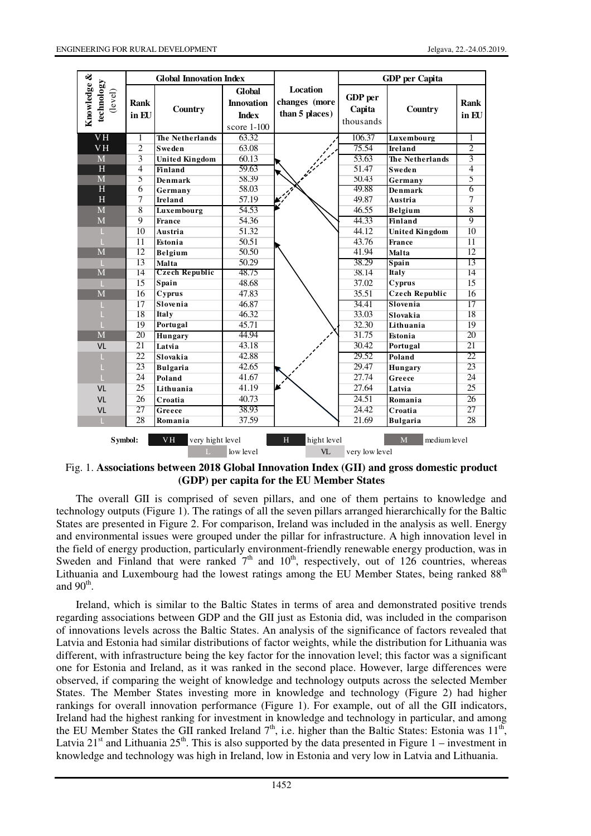|                                                                                                                               | <b>Global Innovation Index</b> |                       |                                                              |                                                    | <b>GDP</b> per Capita          |                        |                 |
|-------------------------------------------------------------------------------------------------------------------------------|--------------------------------|-----------------------|--------------------------------------------------------------|----------------------------------------------------|--------------------------------|------------------------|-----------------|
| Knowledge &<br>technology<br>(level)                                                                                          | <b>Rank</b><br>in EU           | Country               | Global<br><b>Innovation</b><br><b>Index</b><br>score $1-100$ | <b>Location</b><br>changes (more<br>than 5 places) | GDP per<br>Capita<br>thousands | Country                | Rank<br>in EII  |
| VH                                                                                                                            | 1                              | The Netherlands       | 63.32                                                        |                                                    | 106.37                         | Luxembourg             | 1               |
| <b>VH</b>                                                                                                                     | $\overline{2}$                 | <b>Sweden</b>         | 63.08                                                        |                                                    | 75.54                          | Ireland                | $\overline{2}$  |
| M                                                                                                                             | $\overline{\mathbf{3}}$        | <b>United Kingdom</b> | 60.13                                                        |                                                    | 53.63                          | <b>The Netherlands</b> | 3               |
| H                                                                                                                             | $\overline{4}$                 | <b>Finland</b>        | 59.63                                                        |                                                    | 51.47                          | <b>Sweden</b>          | $\overline{4}$  |
| $\overline{\mathbf{M}}$                                                                                                       | 5                              | <b>Denmark</b>        | 58.39                                                        |                                                    | 50.43                          | Germany                | 5               |
| $\overline{\mathrm{H}}$                                                                                                       | 6                              | Germany               | 58.03                                                        |                                                    | 49.88                          | Denmark                | 6               |
| H                                                                                                                             | $\overline{7}$                 | Ireland               | 57.19                                                        |                                                    | 49.87                          | Austria                | 7               |
| M                                                                                                                             | $\overline{8}$                 | Luxembourg            | 54.53                                                        |                                                    | 46.55                          | Belgium                | $\overline{8}$  |
| M                                                                                                                             | $\overline{Q}$                 | <b>France</b>         | 54.36                                                        |                                                    | 44.33                          | Finland                | 9               |
| ш                                                                                                                             | 10                             | Austria               | 51.32                                                        |                                                    | 44.12                          | <b>United Kingdom</b>  | $\overline{10}$ |
|                                                                                                                               | 11                             | Estonia               | 50.51                                                        |                                                    | 43.76                          | <b>France</b>          | 11              |
| M                                                                                                                             | 12                             | Belgium               | 50.50                                                        |                                                    | 41.94                          | Malta                  | 12              |
| т                                                                                                                             | 13                             | Malta                 | 50.29                                                        |                                                    | 38.29                          | Spain                  | 13              |
| $\overline{\mathbf{M}}$                                                                                                       | 14                             | <b>Czech Republic</b> | 48.75                                                        |                                                    | 38.14                          | <b>Italy</b>           | 14              |
| т                                                                                                                             | 15                             | Spain                 | 48.68                                                        |                                                    | 37.02                          | Cyprus                 | 15              |
| $\overline{\mathbf{M}}$                                                                                                       | 16                             | Cyprus                | 47.83                                                        |                                                    | 35.51                          | <b>Czech Republic</b>  | 16              |
| п                                                                                                                             | 17                             | Slovenia              | 46.87                                                        |                                                    | 34.41                          | Slovenia               | 17              |
| г                                                                                                                             | 18                             | <b>Italy</b>          | 46.32                                                        |                                                    | 33.03                          | Slovakia               | 18              |
|                                                                                                                               | 19                             | Portugal              | 45.71                                                        |                                                    | 32.30                          | Lithuania              | 19              |
| $\overline{\mathbf{M}}$                                                                                                       | 20                             | Hungary               | 44.94                                                        |                                                    | 31.75                          | Estonia                | 20              |
| VL                                                                                                                            | 21                             | Latvia                | 43.18                                                        |                                                    | 30.42                          | Portugal               | 21              |
| L                                                                                                                             | $\overline{22}$                | Slovakia              | 42.88                                                        |                                                    | 29.52                          | Poland                 | 22              |
| г                                                                                                                             | 23                             | <b>Bulgaria</b>       | 42.65                                                        |                                                    | 29.47                          | Hungary                | 23              |
|                                                                                                                               | 24                             | Poland                | 41.67                                                        |                                                    | 27.74                          | Greece                 | $\overline{24}$ |
| VL                                                                                                                            | 25                             | Lithuania             | 41.19                                                        | lx                                                 | 27.64                          | Latvia                 | 25              |
| <b>VL</b>                                                                                                                     | 26                             | Croatia               | 40.73                                                        |                                                    | 24.51                          | Romania                | 26              |
| <b>VL</b>                                                                                                                     | 27                             | Greece                | 38.93                                                        |                                                    | 24.42                          | Croatia                | 27              |
| $\mathbf{L}$                                                                                                                  | 28                             | Romania               | 37.59                                                        |                                                    | 21.69                          | <b>Bulgaria</b>        | 28              |
| <b>VH</b><br>M<br>medium level<br>Symbol:<br>very hight level<br>H<br>hight level<br>low level<br><b>VL</b><br>very low level |                                |                       |                                                              |                                                    |                                |                        |                 |

Fig. 1. **Associations between 2018 Global Innovation Index (GII) and gross domestic product (GDP) per capita for the EU Member States**

The overall GII is comprised of seven pillars, and one of them pertains to knowledge and technology outputs (Figure 1). The ratings of all the seven pillars arranged hierarchically for the Baltic States are presented in Figure 2. For comparison, Ireland was included in the analysis as well. Energy and environmental issues were grouped under the pillar for infrastructure. A high innovation level in the field of energy production, particularly environment-friendly renewable energy production, was in Sweden and Finland that were ranked  $7<sup>th</sup>$  and  $10<sup>th</sup>$ , respectively, out of 126 countries, whereas Lithuania and Luxembourg had the lowest ratings among the EU Member States, being ranked  $88<sup>th</sup>$ and  $90<sup>th</sup>$ .

Ireland, which is similar to the Baltic States in terms of area and demonstrated positive trends regarding associations between GDP and the GII just as Estonia did, was included in the comparison of innovations levels across the Baltic States. An analysis of the significance of factors revealed that Latvia and Estonia had similar distributions of factor weights, while the distribution for Lithuania was different, with infrastructure being the key factor for the innovation level; this factor was a significant one for Estonia and Ireland, as it was ranked in the second place. However, large differences were observed, if comparing the weight of knowledge and technology outputs across the selected Member States. The Member States investing more in knowledge and technology (Figure 2) had higher rankings for overall innovation performance (Figure 1). For example, out of all the GII indicators, Ireland had the highest ranking for investment in knowledge and technology in particular, and among the EU Member States the GII ranked Ireland  $7<sup>th</sup>$ , i.e. higher than the Baltic States: Estonia was  $11<sup>th</sup>$ , Latvia 21<sup>st</sup> and Lithuania 25<sup>th</sup>. This is also supported by the data presented in Figure 1 – investment in knowledge and technology was high in Ireland, low in Estonia and very low in Latvia and Lithuania.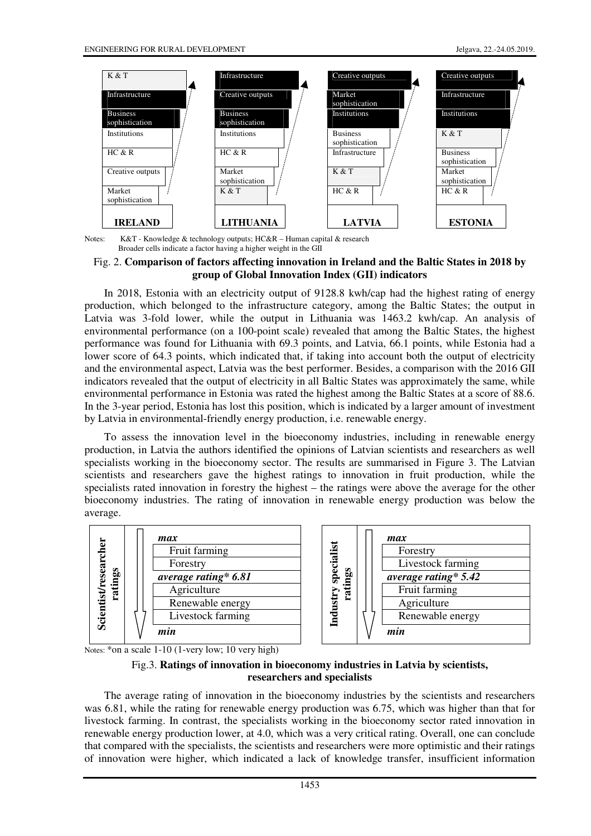

Notes: K&T - Knowledge & technology outputs; HC&R - Human capital & research Broader cells indicate a factor having a higher weight in the GII

# Fig. 2. **Comparison of factors affecting innovation in Ireland and the Baltic States in 2018 by group of Global Innovation Index (GII) indicators**

In 2018, Estonia with an electricity output of 9128.8 kwh/cap had the highest rating of energy production, which belonged to the infrastructure category, among the Baltic States; the output in Latvia was 3-fold lower, while the output in Lithuania was 1463.2 kwh/cap. An analysis of environmental performance (on a 100-point scale) revealed that among the Baltic States, the highest performance was found for Lithuania with 69.3 points, and Latvia, 66.1 points, while Estonia had a lower score of 64.3 points, which indicated that, if taking into account both the output of electricity and the environmental aspect, Latvia was the best performer. Besides, a comparison with the 2016 GII indicators revealed that the output of electricity in all Baltic States was approximately the same, while environmental performance in Estonia was rated the highest among the Baltic States at a score of 88.6. In the 3-year period, Estonia has lost this position, which is indicated by a larger amount of investment by Latvia in environmental-friendly energy production, i.e. renewable energy.

To assess the innovation level in the bioeconomy industries, including in renewable energy production, in Latvia the authors identified the opinions of Latvian scientists and researchers as well specialists working in the bioeconomy sector. The results are summarised in Figure 3. The Latvian scientists and researchers gave the highest ratings to innovation in fruit production, while the specialists rated innovation in forestry the highest – the ratings were above the average for the other bioeconomy industries. The rating of innovation in renewable energy production was below the average.



| specialis | max                  |
|-----------|----------------------|
|           | Forestry             |
|           | Livestock farming    |
|           | average rating* 5.42 |
| Industr   | Fruit farming        |
|           | Agriculture          |
|           | Renewable energy     |
|           | min                  |

Notes: \*on a scale 1-10 (1-very low; 10 very high)

# Fig.3. **Ratings of innovation in bioeconomy industries in Latvia by scientists, researchers and specialists**

The average rating of innovation in the bioeconomy industries by the scientists and researchers was 6.81, while the rating for renewable energy production was 6.75, which was higher than that for livestock farming. In contrast, the specialists working in the bioeconomy sector rated innovation in renewable energy production lower, at 4.0, which was a very critical rating. Overall, one can conclude that compared with the specialists, the scientists and researchers were more optimistic and their ratings of innovation were higher, which indicated a lack of knowledge transfer, insufficient information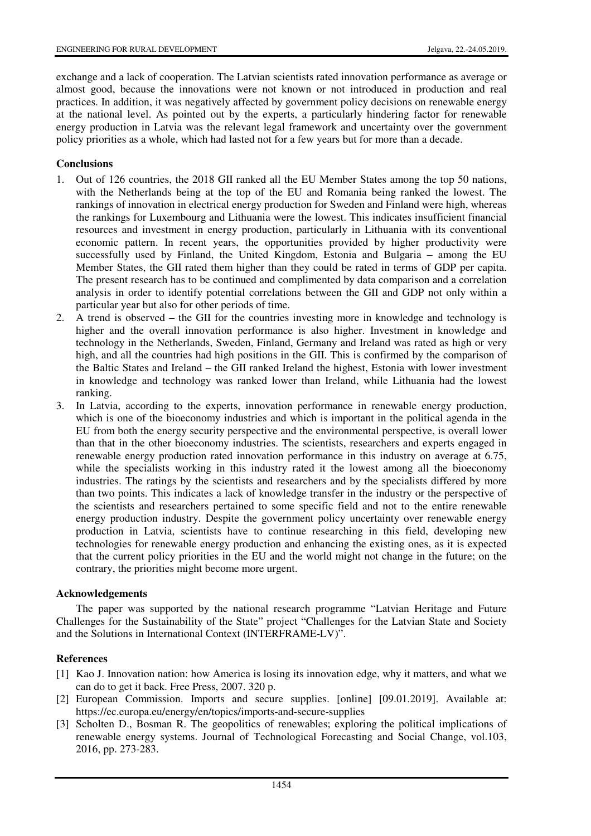exchange and a lack of cooperation. The Latvian scientists rated innovation performance as average or almost good, because the innovations were not known or not introduced in production and real practices. In addition, it was negatively affected by government policy decisions on renewable energy at the national level. As pointed out by the experts, a particularly hindering factor for renewable energy production in Latvia was the relevant legal framework and uncertainty over the government policy priorities as a whole, which had lasted not for a few years but for more than a decade.

# **Conclusions**

- 1. Out of 126 countries, the 2018 GII ranked all the EU Member States among the top 50 nations, with the Netherlands being at the top of the EU and Romania being ranked the lowest. The rankings of innovation in electrical energy production for Sweden and Finland were high, whereas the rankings for Luxembourg and Lithuania were the lowest. This indicates insufficient financial resources and investment in energy production, particularly in Lithuania with its conventional economic pattern. In recent years, the opportunities provided by higher productivity were successfully used by Finland, the United Kingdom, Estonia and Bulgaria – among the EU Member States, the GII rated them higher than they could be rated in terms of GDP per capita. The present research has to be continued and complimented by data comparison and a correlation analysis in order to identify potential correlations between the GII and GDP not only within a particular year but also for other periods of time.
- 2. A trend is observed the GII for the countries investing more in knowledge and technology is higher and the overall innovation performance is also higher. Investment in knowledge and technology in the Netherlands, Sweden, Finland, Germany and Ireland was rated as high or very high, and all the countries had high positions in the GII. This is confirmed by the comparison of the Baltic States and Ireland – the GII ranked Ireland the highest, Estonia with lower investment in knowledge and technology was ranked lower than Ireland, while Lithuania had the lowest ranking.
- 3. In Latvia, according to the experts, innovation performance in renewable energy production, which is one of the bioeconomy industries and which is important in the political agenda in the EU from both the energy security perspective and the environmental perspective, is overall lower than that in the other bioeconomy industries. The scientists, researchers and experts engaged in renewable energy production rated innovation performance in this industry on average at 6.75, while the specialists working in this industry rated it the lowest among all the bioeconomy industries. The ratings by the scientists and researchers and by the specialists differed by more than two points. This indicates a lack of knowledge transfer in the industry or the perspective of the scientists and researchers pertained to some specific field and not to the entire renewable energy production industry. Despite the government policy uncertainty over renewable energy production in Latvia, scientists have to continue researching in this field, developing new technologies for renewable energy production and enhancing the existing ones, as it is expected that the current policy priorities in the EU and the world might not change in the future; on the contrary, the priorities might become more urgent.

# **Acknowledgements**

The paper was supported by the national research programme "Latvian Heritage and Future Challenges for the Sustainability of the State" project "Challenges for the Latvian State and Society and the Solutions in International Context (INTERFRAME-LV)".

# **References**

- [1] Kao J. Innovation nation: how America is losing its innovation edge, why it matters, and what we can do to get it back. Free Press, 2007. 320 p.
- [2] European Commission. Imports and secure supplies. [online] [09.01.2019]. Available at: https://ec.europa.eu/energy/en/topics/imports-and-secure-supplies
- [3] Scholten D., Bosman R. The geopolitics of renewables; exploring the political implications of renewable energy systems. Journal of Technological Forecasting and Social Change, vol.103, 2016, pp. 273-283.